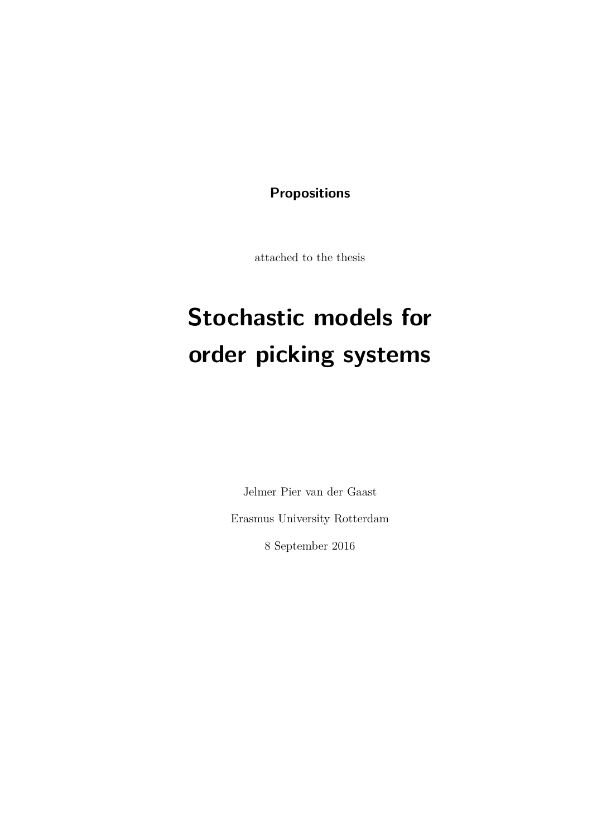**Propositions**

attached to the thesis

# **Stochastic models for order picking systems**

Jelmer Pier van der Gaast Erasmus University Rotterdam 8 September 2016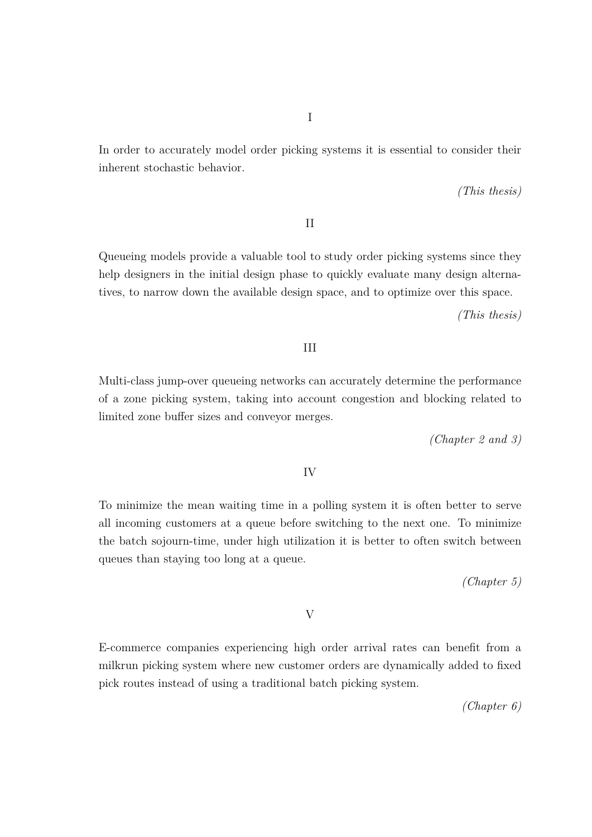In order to accurately model order picking systems it is essential to consider their inherent stochastic behavior.

*(This thesis)*

II

Queueing models provide a valuable tool to study order picking systems since they help designers in the initial design phase to quickly evaluate many design alternatives, to narrow down the available design space, and to optimize over this space.

*(This thesis)*

#### III

Multi-class jump-over queueing networks can accurately determine the performance of a zone picking system, taking into account congestion and blocking related to limited zone buffer sizes and conveyor merges.

*(Chapter 2 and 3)*

#### IV

To minimize the mean waiting time in a polling system it is often better to serve all incoming customers at a queue before switching to the next one. To minimize the batch sojourn-time, under high utilization it is better to often switch between queues than staying too long at a queue.

*(Chapter 5)*

V

E-commerce companies experiencing high order arrival rates can benefit from a milkrun picking system where new customer orders are dynamically added to fixed pick routes instead of using a traditional batch picking system.

*(Chapter 6)*